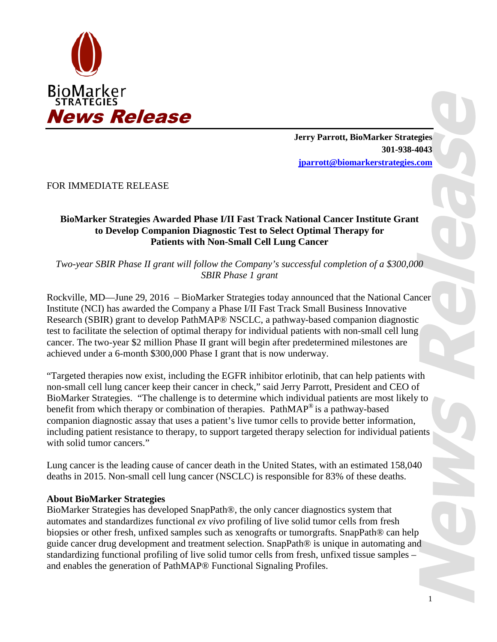

**Jerry Parrott, BioMarker Strategies 301-938-4043 jparrott@biomarkerstrategies.com**

FOR IMMEDIATE RELEASE

## **BioMarker Strategies Awarded Phase I/II Fast Track National Cancer Institute Grant to Develop Companion Diagnostic Test to Select Optimal Therapy for Patients with Non-Small Cell Lung Cancer**

*Two-year SBIR Phase II grant will follow the Company's successful completion of a \$300,000 SBIR Phase 1 grant*

Rockville, MD—June 29, 2016 – BioMarker Strategies today announced that the National Cancer Institute (NCI) has awarded the Company a Phase I/II Fast Track Small Business Innovative Research (SBIR) grant to develop PathMAP® NSCLC, a pathway-based companion diagnostic test to facilitate the selection of optimal therapy for individual patients with non-small cell lung cancer. The two-year \$2 million Phase II grant will begin after predetermined milestones are achieved under a 6-month \$300,000 Phase I grant that is now underway.

"Targeted therapies now exist, including the EGFR inhibitor erlotinib, that can help patients with non-small cell lung cancer keep their cancer in check," said Jerry Parrott, President and CEO of BioMarker Strategies. "The challenge is to determine which individual patients are most likely to benefit from which therapy or combination of therapies. PathMAP<sup>®</sup> is a pathway-based companion diagnostic assay that uses a patient's live tumor cells to provide better information, including patient resistance to therapy, to support targeted therapy selection for individual patients with solid tumor cancers."

Lung cancer is the leading cause of cancer death in the United States, with an estimated 158,040 deaths in 2015. Non-small cell lung cancer (NSCLC) is responsible for 83% of these deaths.

## **About BioMarker Strategies**

BioMarker Strategies has developed SnapPath®, the only cancer diagnostics system that automates and standardizes functional *ex vivo* profiling of live solid tumor cells from fresh biopsies or other fresh, unfixed samples such as xenografts or tumorgrafts. SnapPath® can help guide cancer drug development and treatment selection. SnapPath® is unique in automating and standardizing functional profiling of live solid tumor cells from fresh, unfixed tissue samples – and enables the generation of PathMAP® Functional Signaling Profiles.